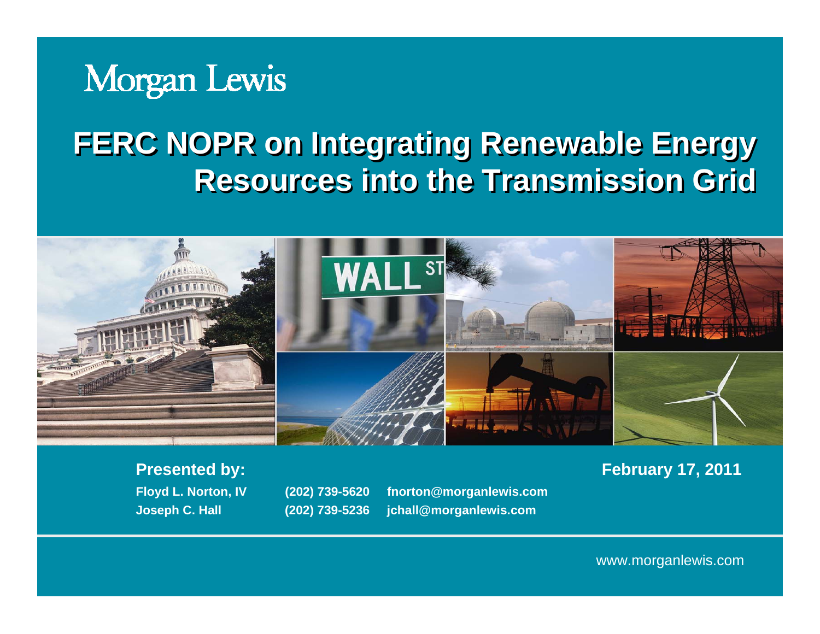## Morgan Lewis

## **FERC NOPR on Integrating Renewable Energy FERC NOPR on Integrating Renewable Energy Resources into the Transmission GridResources into the Transmission Grid**



**Floyd L. Norton, IV (202) 739-5620 fnorton@morganlewis.com Joseph C. Hall (202) 739-5236 jchall@morganlewis.com**

**Presented by: February 17, 2011**

www.morganlewis.com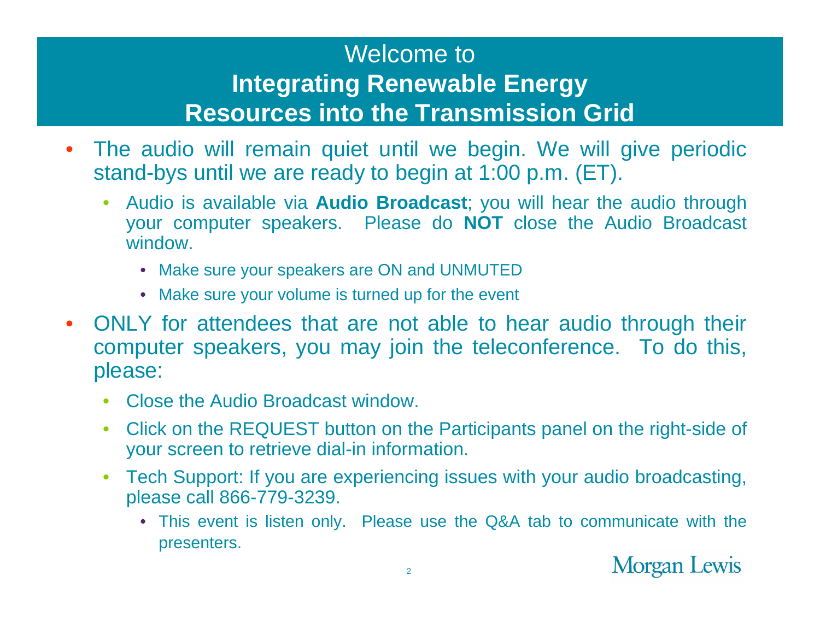#### Welcome to**Integrating Renewable Energy Resources into the Transmission Grid**

- $\bullet$  The audio will remain quiet until we begin. We will give periodic stand-bys until we are ready to begin at 1:00 p.m. (ET).
	- • Audio is available via **Audio Broadcast**; you will hear the audio through your computer speakers. Please do **NOT** close the Audio Broadcast window.
		- Make sure your speakers are ON and UNMUTED
		- Make sure your volume is turned up for the event
- • ONLY for attendees that are not able to hear audio through their computer speakers, you may join the teleconference. To do this, please:
	- •Close the Audio Broadcast window.
	- $\bullet$  Click on the REQUEST button on the Participants panel on the right-side of your screen to retrieve dial-in information.
	- • Tech Support: If you are experiencing issues with your audio broadcasting, please call 866-779-3239.
		- This event is listen only. Please use the Q&A tab to communicate with the presenters.

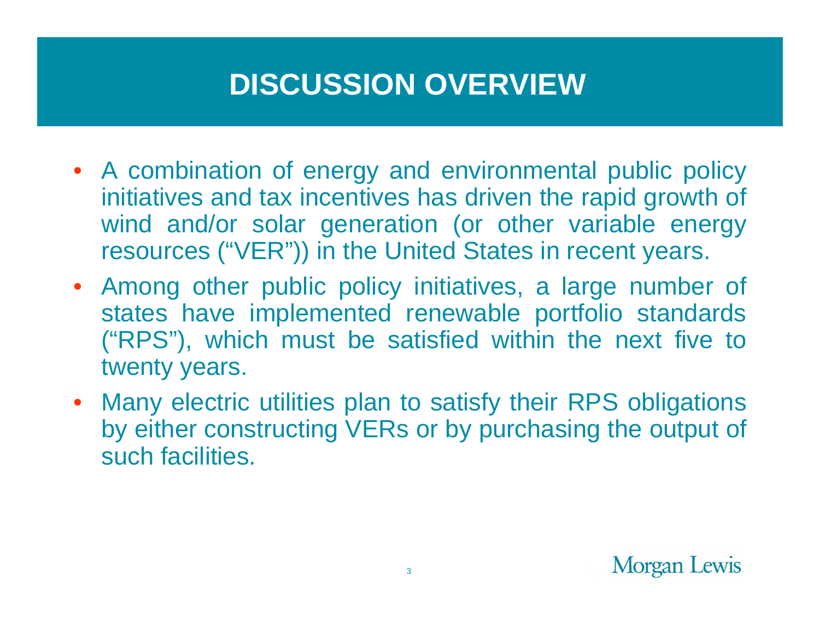## **DISCUSSION OVERVIEW**

- A combination of energy and environmental public policy initiatives and tax incentives has driven the rapid growth of wind and/or solar generation (or other variable energy resources ("VER")) in the United States in recent years.
- Among other public policy initiatives, a large number of states have implemented renewable portfolio standards ("RPS"), which must be satisfied within the next five to twenty years.
- Many electric utilities plan to satisfy their RPS obligations by either constructing VERs or by purchasing the output of such facilities.

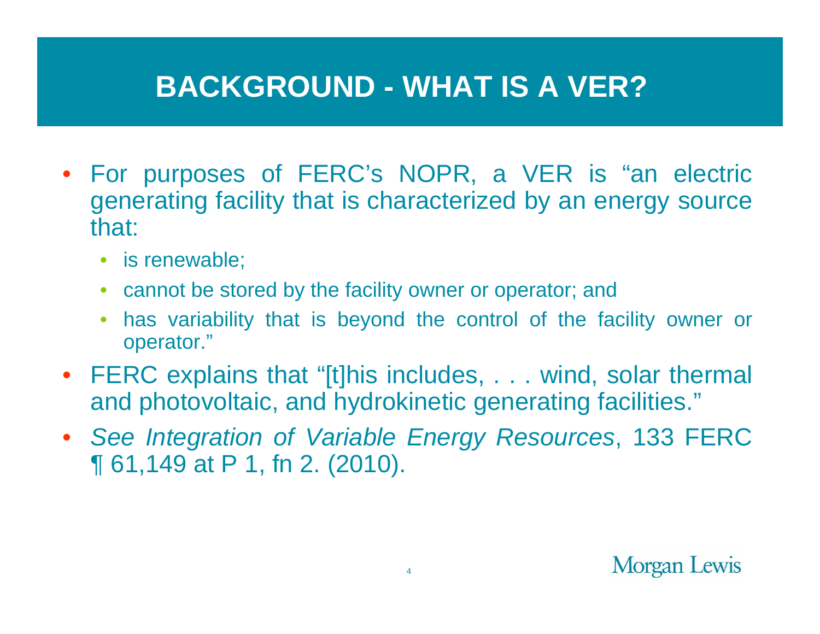#### **BACKGROUND - WHAT IS A VER?**

- For purposes of FERC's NOPR, a VER is "an electric generating facility that is characterized by an energy source that:
	- is renewable;
	- cannot be stored by the facility owner or operator; and
	- • has variability that is beyond the control of the facility owner or operator."
- FERC explains that "[t]his includes, . . . wind, solar thermal and photovoltaic, and hydrokinetic generating facilities."
- *See Integration of Variable Energy Resources*, 133 FERC ¶ 61,149 at P 1, fn 2. (2010).

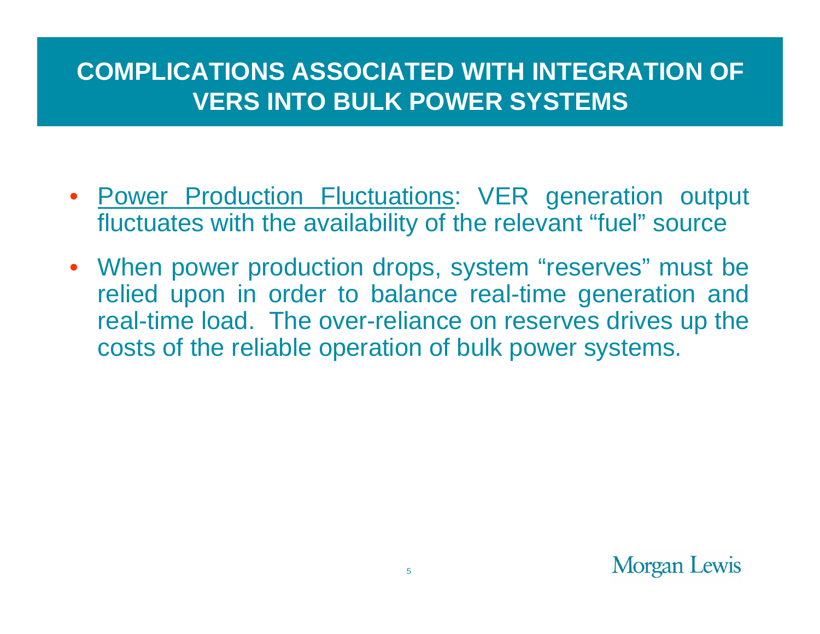#### **COMPLICATIONS ASSOCIATED WITH INTEGRATION OF VERS INTO BULK POWER SYSTEMS**

- Power Production Fluctuations: VER generation output fluctuates with the availability of the relevant "fuel" source
- When power production drops, system "reserves" must be relied upon in order to balance real-time generation and real-time load. The over-reliance on reserves drives up the costs of the reliable operation of bulk power systems.

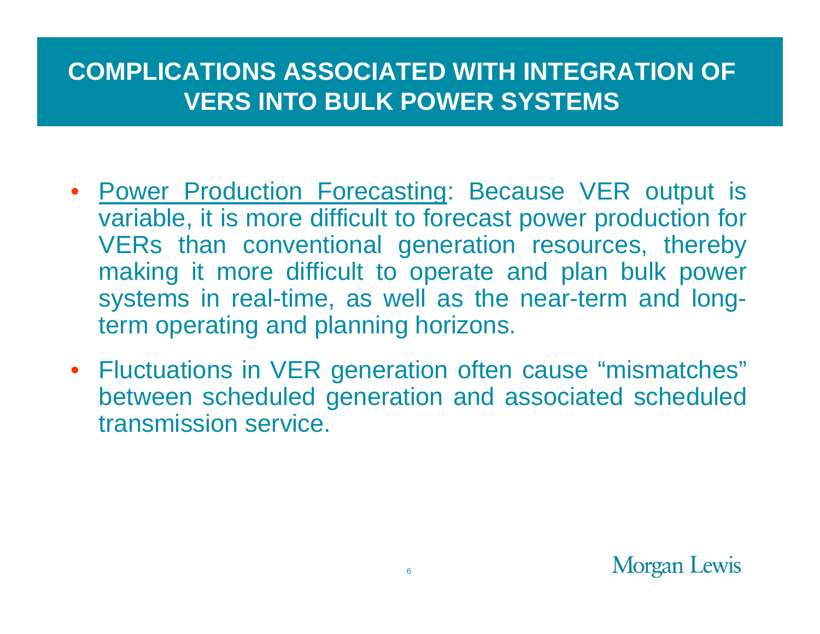#### **COMPLICATIONS ASSOCIATED WITH INTEGRATION OF VERS INTO BULK POWER SYSTEMS**

- Power Production Forecasting: Because VER output is variable, it is more difficult to forecast power production for VERs than conventional generation resources, thereby making it more difficult to operate and plan bulk power systems in real-time, as well as the near-term and longterm operating and planning horizons.
- Fluctuations in VER generation often cause "mismatches" between scheduled generation and associated scheduled transmission service.

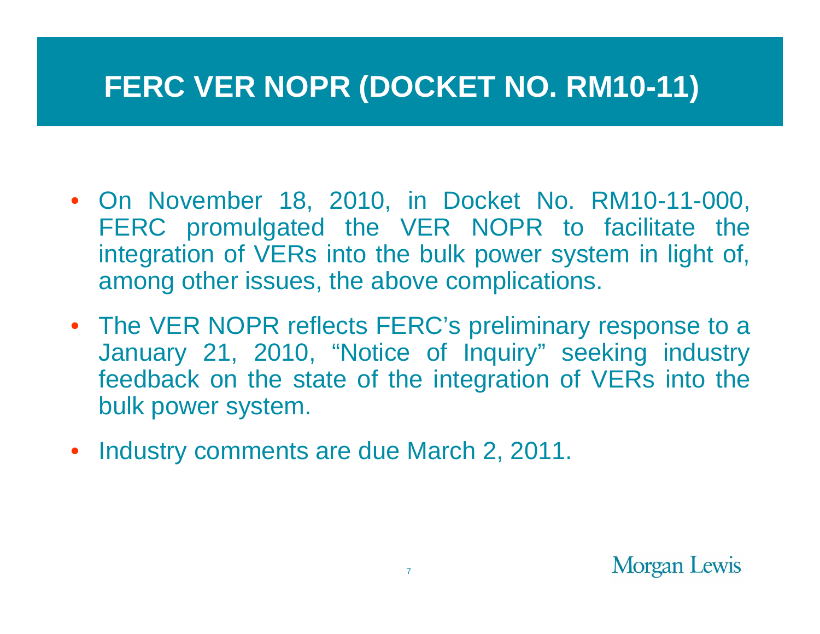## **FERC VER NOPR (DOCKET NO. RM10-11)**

- On November 18, 2010, in Docket No. RM10-11-000, FERC promulgated the VER NOPR to facilitate the integration of VERs into the bulk power system in light of, among other issues, the above complications.
- The VER NOPR reflects FERC's preliminary response to a January 21, 2010, "Notice of Inquiry" seeking industry feedback on the state of the integration of VERs into the bulk power system.
- Industry comments are due March 2, 2011.

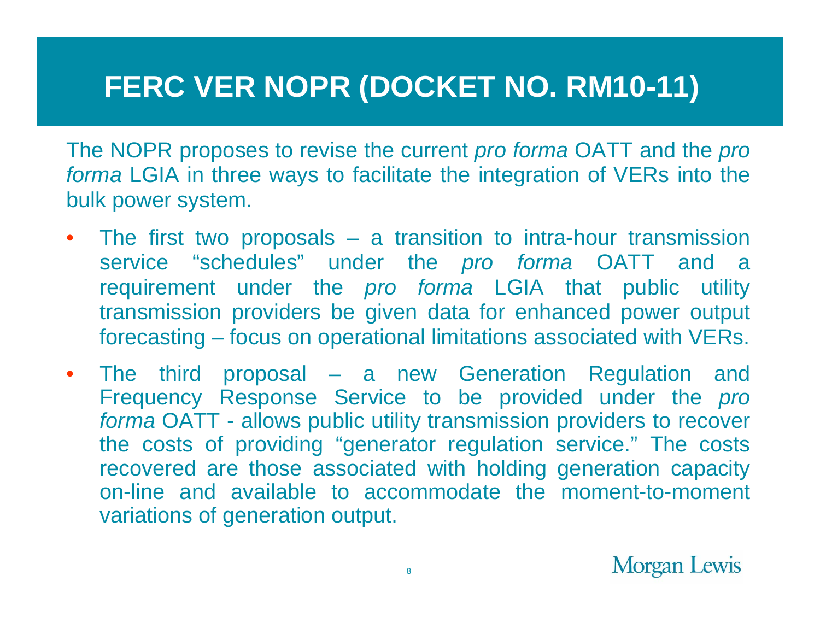## **FERC VER NOPR (DOCKET NO. RM10-11)**

The NOPR proposes to revise the current *pro forma* OATT and the *pro forma* LGIA in three ways to facilitate the integration of VERs into the bulk power system.

- $\bullet$  The first two proposals – a transition to intra-hour transmission service "schedules" under the *pro forma* OATT and a requirement under the *pro forma* LGIA that public utility transmission providers be given data for enhanced power output forecasting – focus on operational limitations associated with VERs.
- $\bullet$  The third proposal – a new Generation Regulation and Frequency Response Service to be provided under the *pro forma* OATT - allows public utility transmission providers to recover the costs of providing "generator regulation service." The costs recovered are those associated with holding generation capacity on-line and available to accommodate the moment-to-moment variations of generation output.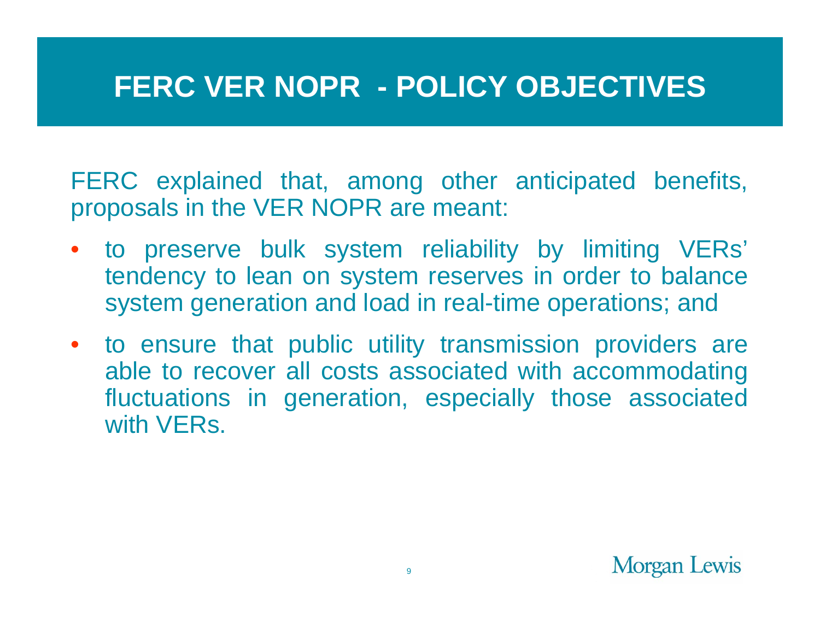#### **FERC VER NOPR - POLICY OBJECTIVES**

FERC explained that, among other anticipated benefits, proposals in the VER NOPR are meant:

- to preserve bulk system reliability by limiting VERs' tendency to lean on system reserves in order to balance system generation and load in real-time operations; and
- to ensure that public utility transmission providers are able to recover all costs associated with accommodating fluctuations in generation, especially those associated with **VERs**

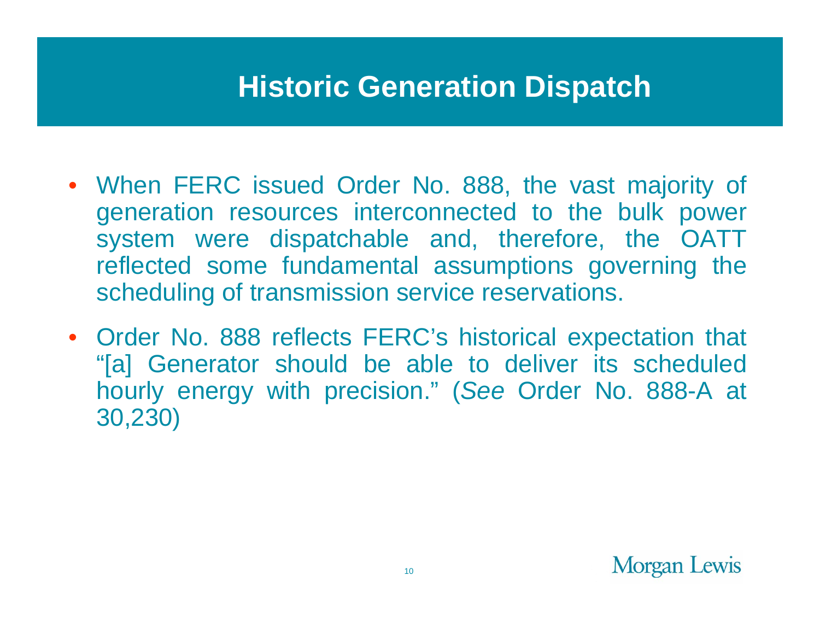#### **Historic Generation Dispatch**

- When FERC issued Order No. 888, the vast majority of generation resources interconnected to the bulk power system were dispatchable and, therefore, the OATT reflected some fundamental assumptions governing the scheduling of transmission service reservations.
- Order No. 888 reflects FERC's historical expectation that "[a] Generator should be able to deliver its scheduled hourly energy with precision." (*See* Order No. 888-A at 30,230)

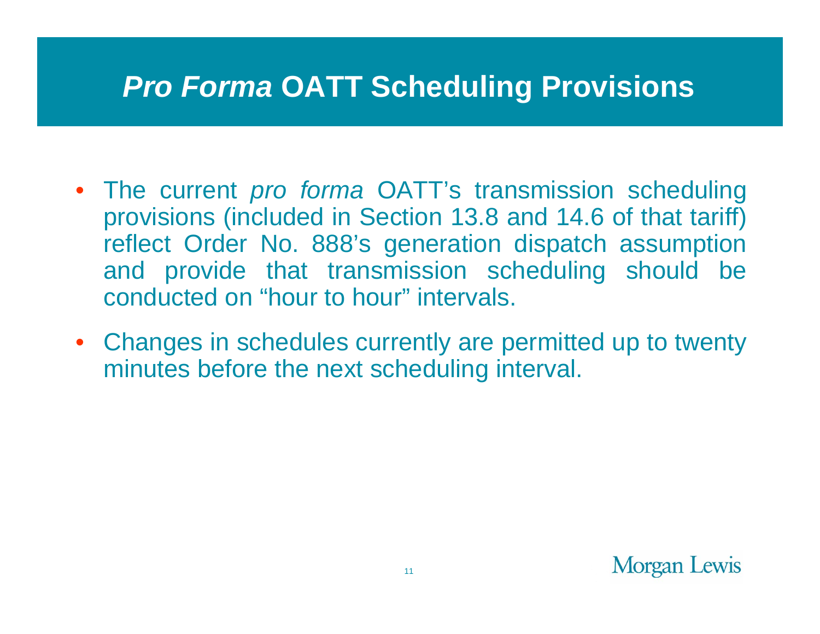#### *Pro Forma* **OATT Scheduling Provisions**

- The current *pro forma* OATT's transmission scheduling provisions (included in Section 13.8 and 14.6 of that tariff) reflect Order No. 888's generation dispatch assumption and provide that transmission scheduling should be conducted on "hour to hour" intervals.
- Changes in schedules currently are permitted up to twenty minutes before the next scheduling interval.

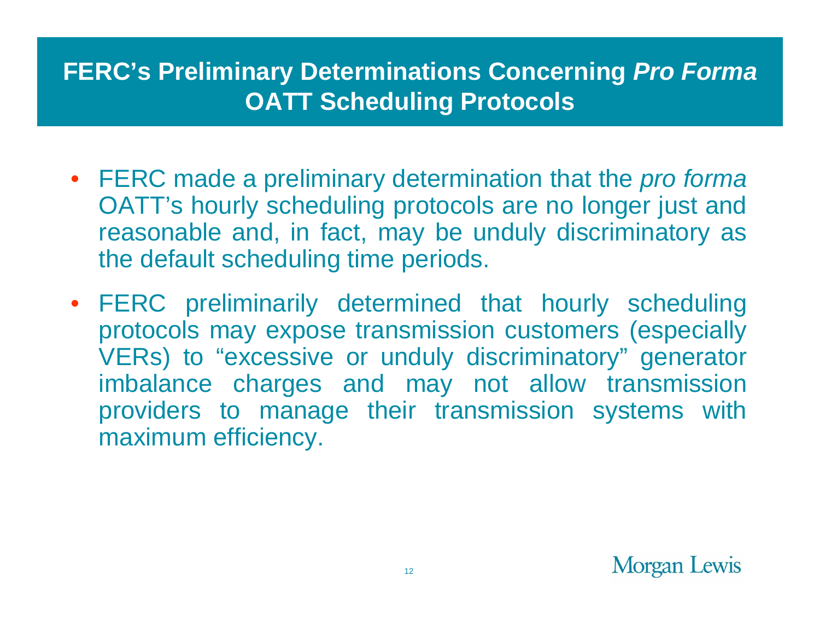#### **FERC's Preliminary Determinations Concerning** *Pro Forma* **OATT Scheduling Protocols**

- FERC made a preliminary determination that the *pro forma* OATT's hourly scheduling protocols are no longer just and reasonable and, in fact, may be unduly discriminatory as the default scheduling time periods.
- FERC preliminarily determined that hourly scheduling protocols may expose transmission customers (especially VERs) to "excessive or unduly discriminatory" generator imbalance charges and may not allow transmission providers to manage their transmission systems with maximum efficiency.

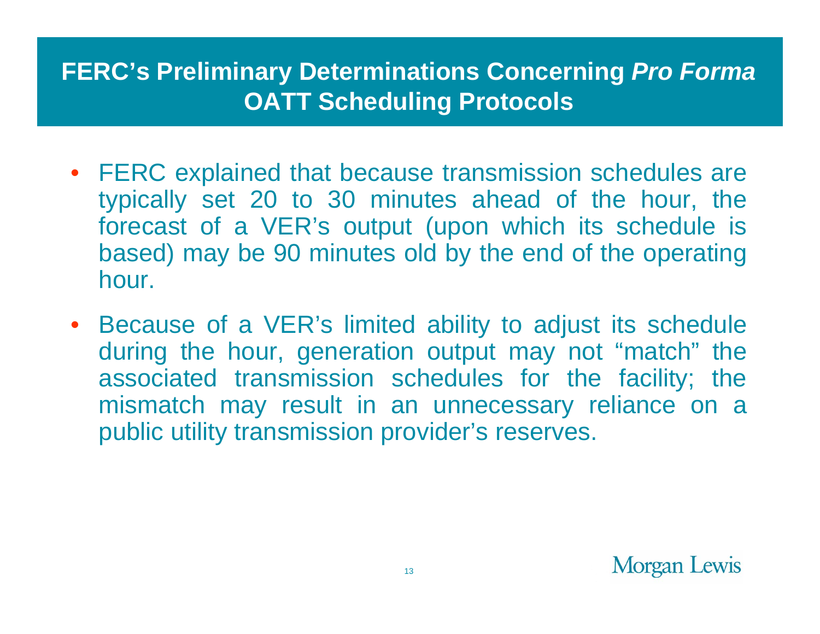#### **FERC's Preliminary Determinations Concerning** *Pro Forma* **OATT Scheduling Protocols**

- FERC explained that because transmission schedules are typically set 20 to 30 minutes ahead of the hour, the forecast of a VER's output (upon which its schedule is based) may be 90 minutes old by the end of the operating hour.
- Because of a VER's limited ability to adjust its schedule during the hour, generation output may not "match" the associated transmission schedules for the facility; the mismatch may result in an unnecessary reliance on a public utility transmission provider's reserves.

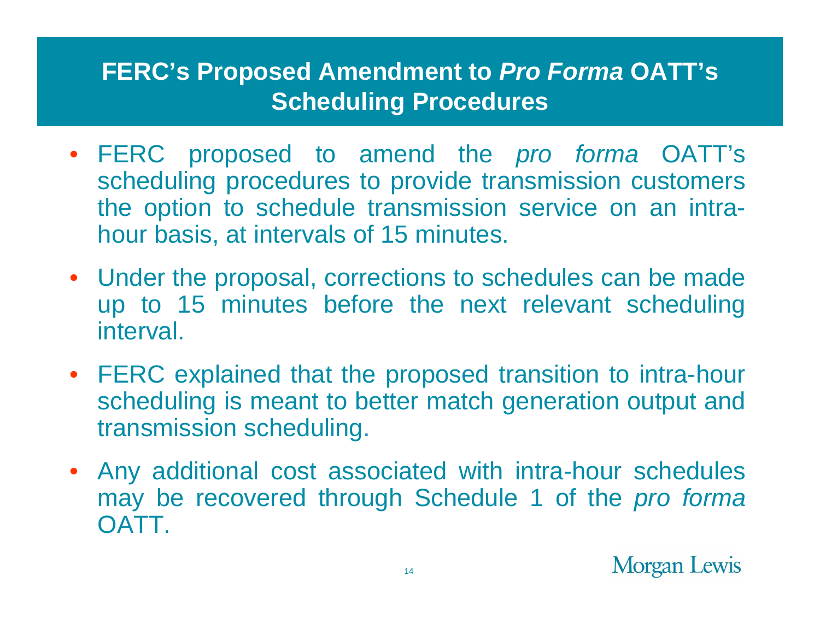#### **FERC's Proposed Amendment to** *Pro Forma* **OATT's Scheduling Procedures**

- FERC proposed to amend the *pro forma* OATT's scheduling procedures to provide transmission customers the option to schedule transmission service on an intrahour basis, at intervals of 15 minutes.
- Under the proposal, corrections to schedules can be made up to 15 minutes before the next relevant scheduling interval.
- FERC explained that the proposed transition to intra-hour scheduling is meant to better match generation output and transmission scheduling.
- Any additional cost associated with intra-hour schedules may be recovered through Schedule 1 of the *pro forma* **OATT**

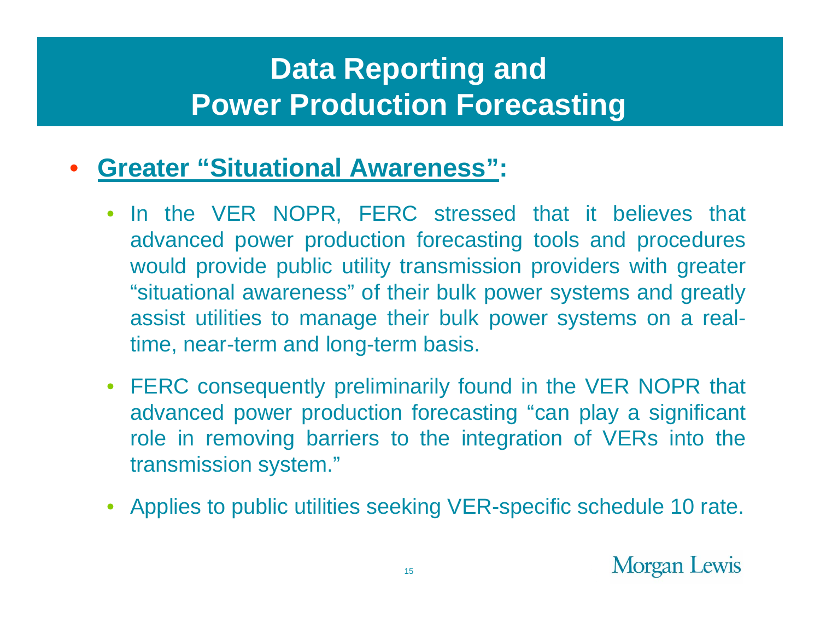- • **Greater "Situational Awareness":** 
	- • In the VER NOPR, FERC stressed that it believes that advanced power production forecasting tools and procedures would provide public utility transmission providers with greater "situational awareness" of their bulk power systems and greatly assist utilities to manage their bulk power systems on a realtime, near-term and long-term basis.
	- FERC consequently preliminarily found in the VER NOPR that advanced power production forecasting "can play a significant role in removing barriers to the integration of VERs into the transmission system."
	- Applies to public utilities seeking VER-specific schedule 10 rate.

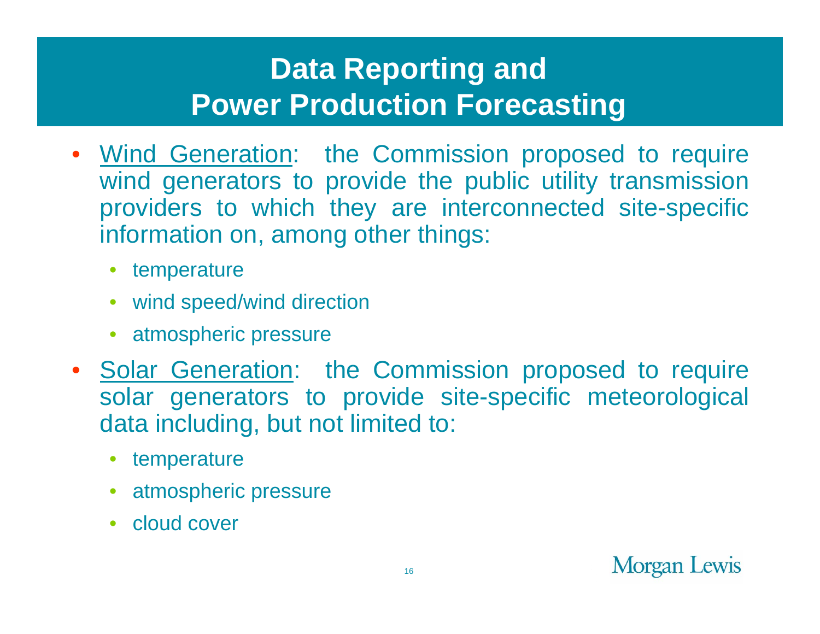- • Wind Generation: the Commission proposed to require wind generators to provide the public utility transmission providers to which they are interconnected site-specific information on, among other things:
	- temperature
	- wind speed/wind direction
	- atmospheric pressure
- Solar Generation: the Commission proposed to require solar generators to provide site-specific meteorological data including, but not limited to:
	- •temperature
	- atmospheric pressure
	- cloud cover

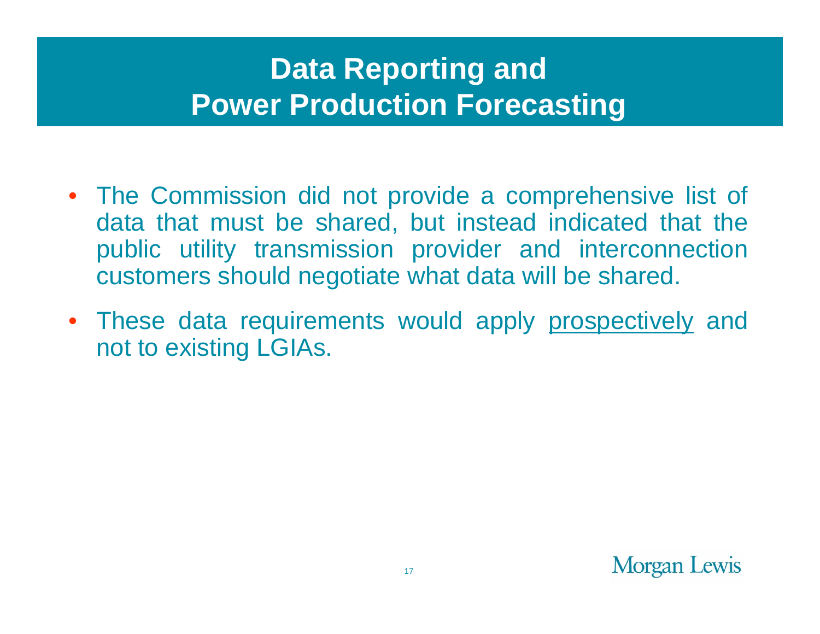- The Commission did not provide a comprehensive list of data that must be shared, but instead indicated that the public utility transmission provider and interconnection customers should negotiate what data will be shared.
- These data requirements would apply prospectively and not to existing LGIAs.

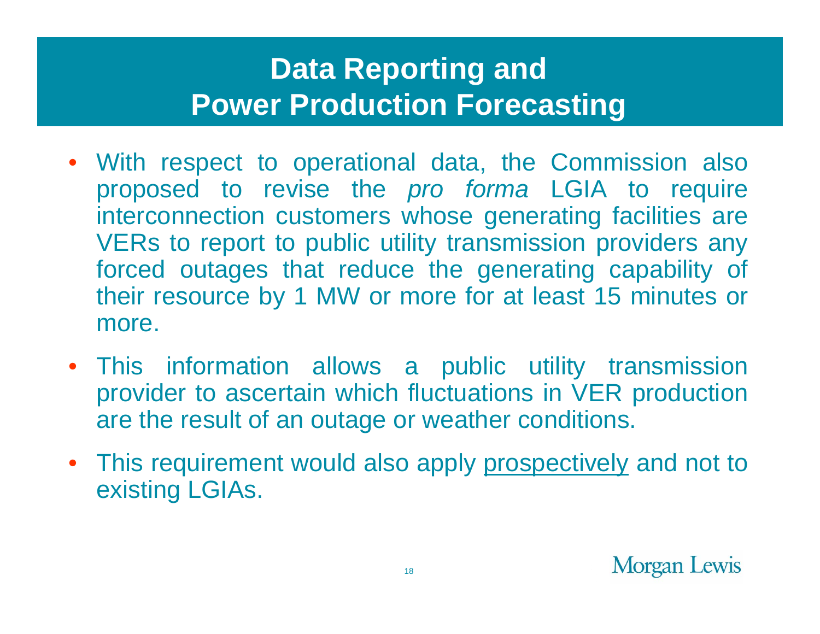- With respect to operational data, the Commission also proposed to revise the *pro forma* LGIA to require interconnection customers whose generating facilities are VERs to report to public utility transmission providers any forced outages that reduce the generating capability of their resource by 1 MW or more for at least 15 minutes or more.
- This information allows a public utility transmission provider to ascertain which fluctuations in VER production are the result of an outage or weather conditions.
- This requirement would also apply prospectively and not to existing LGIAs.

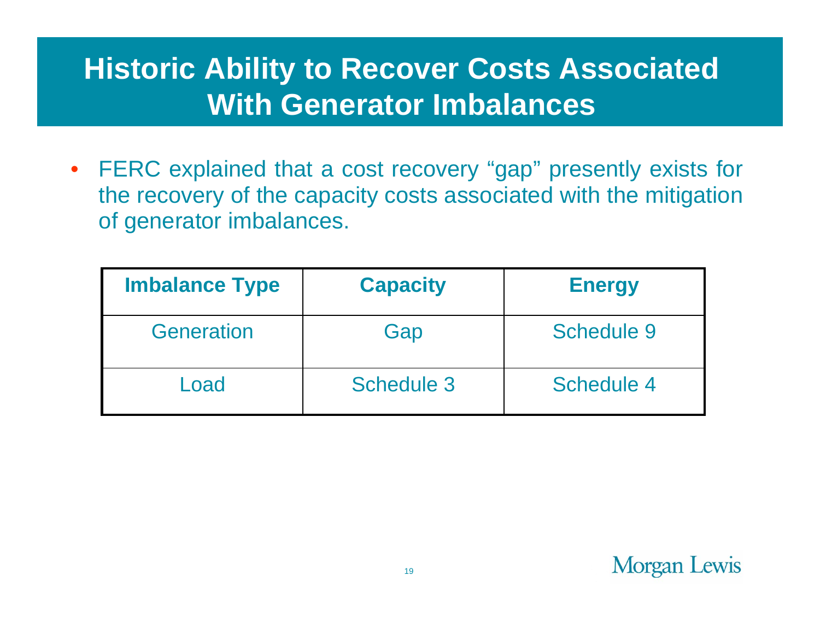## **Historic Ability to Recover Costs Associated With Generator Imbalances**

• FERC explained that a cost recovery "gap" presently exists for the recovery of the capacity costs associated with the mitigation of generator imbalances.

| <b>Imbalance Type</b> | <b>Capacity</b>   | <b>Energy</b> |
|-----------------------|-------------------|---------------|
| Generation            | Gap               | Schedule 9    |
| Load                  | <b>Schedule 3</b> | Schedule 4    |

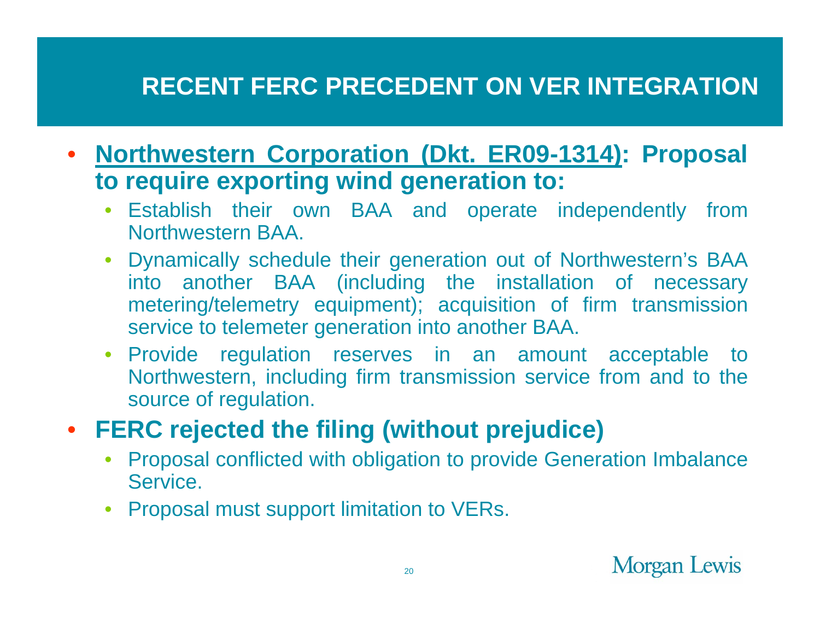#### **RECENT FERC PRECEDENT ON VER INTEGRATION**

- $\bullet$  **Northwestern Corporation (Dkt. ER09-1314): Proposal to require exporting wind generation to:** 
	- $\bullet$  Establish their own BAA and operate independently from Northwestern BAA.
	- Dynamically schedule their generation out of Northwestern's BAA into another BAA (including the installation of necessary metering/telemetry equipment); acquisition of firm transmission service to telemeter generation into another BAA.
	- Provide regulation reserves in an amount acceptable to Northwestern, including firm transmission service from and to the source of regulation.
- $\bullet$  **FERC rejected the filing (without prejudice)**
	- • Proposal conflicted with obligation to provide Generation Imbalance Service.
	- Proposal must support limitation to VERs.

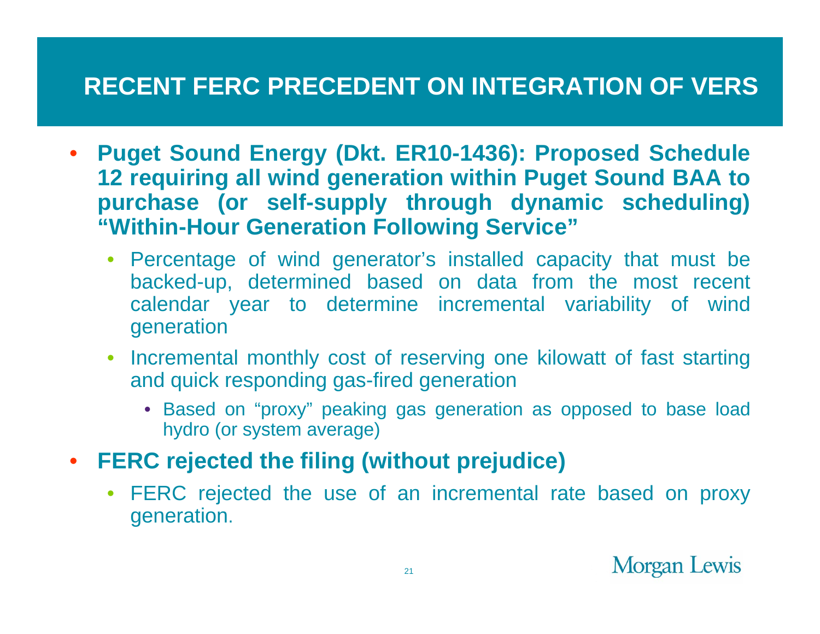#### **RECENT FERC PRECEDENT ON INTEGRATION OF VERS**

- $\bullet$  **Puget Sound Energy (Dkt. ER10-1436): Proposed Schedule 12 requiring all wind generation within Puget Sound BAA to purchase (or self-supply through dynamic scheduling) "Within-Hour Generation Following Service"**
	- $\bullet$  Percentage of wind generator's installed capacity that must be backed-up, determined based on data from the most recent calendar year to determine incremental variability of wind generation
	- $\bullet$  Incremental monthly cost of reserving one kilowatt of fast starting and quick responding gas-fired generation
		- Based on "proxy" peaking gas generation as opposed to base load hydro (or system average)
- **FERC rejected the filing (without prejudice)**
	- FERC rejected the use of an incremental rate based on proxy generation.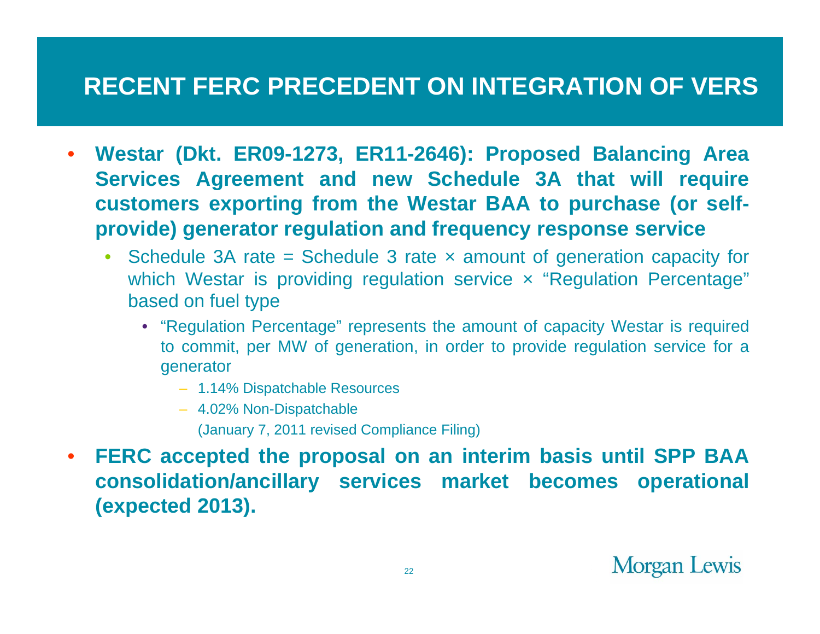#### **RECENT FERC PRECEDENT ON INTEGRATION OF VERS**

- • **Westar (Dkt. ER09-1273, ER11-2646): Proposed Balancing Area Services Agreement and new Schedule 3A that will require customers exporting from the Westar BAA to purchase (or selfprovide) generator regulation and frequency response service**
	- $\bullet$ Schedule 3A rate = Schedule 3 rate  $\times$  amount of generation capacity for which Westar is providing regulation service x "Regulation Percentage" based on fuel type
		- "Regulation Percentage" represents the amount of capacity Westar is required to commit, per MW of generation, in order to provide regulation service for a generator
			- 1.14% Dispatchable Resources
			- 4.02% Non-Dispatchable
				- (January 7, 2011 revised Compliance Filing)
- $\bullet$  **FERC accepted the proposal on an interim basis until SPP BAA consolidation/ancillary services market becomes operational (expected 2013).**

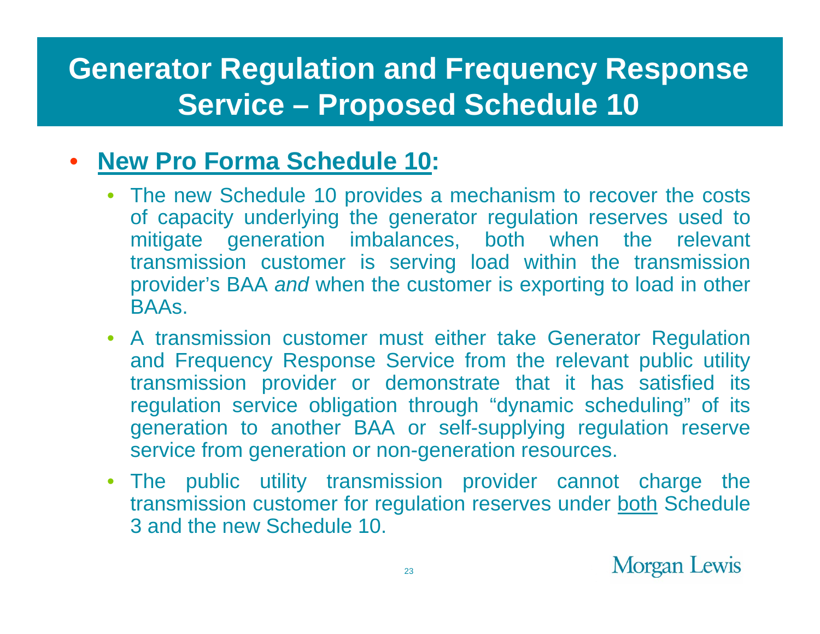## **Generator Regulation and Frequency Response Service – Proposed Schedule 10**

#### $\bullet$ **New Pro Forma Schedule 10:**

- The new Schedule 10 provides a mechanism to recover the costs of capacity underlying the generator regulation reserves used to mitigate generation imbalances, both when the relevant transmission customer is serving load within the transmission provider's BAA *and* when the customer is exporting to load in other **BAAs**
- A transmission customer must either take Generator Regulation and Frequency Response Service from the relevant public utility transmission provider or demonstrate that it has satisfied its regulation service obligation through "dynamic scheduling" of its generation to another BAA or self-supplying regulation reserve service from generation or non-generation resources.
- The public utility transmission provider cannot charge the transmission customer for regulation reserves under both Schedule 3 and the new Schedule 10.

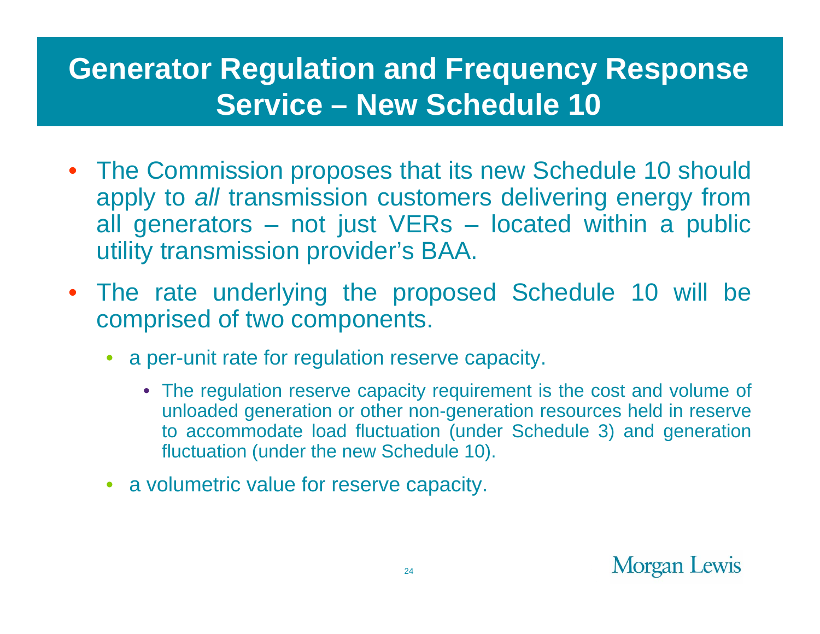## **Generator Regulation and Frequency Response Service – New Schedule 10**

- The Commission proposes that its new Schedule 10 should apply to *all* transmission customers delivering energy from all generators – not just VERs – located within a public utility transmission provider's BAA.
- The rate underlying the proposed Schedule 10 will be comprised of two components.
	- • a per-unit rate for regulation reserve capacity.
		- The regulation reserve capacity requirement is the cost and volume of unloaded generation or other non-generation resources held in reserve to accommodate load fluctuation (under Schedule 3) and generation fluctuation (under the new Schedule 10).
	- a volumetric value for reserve capacity.

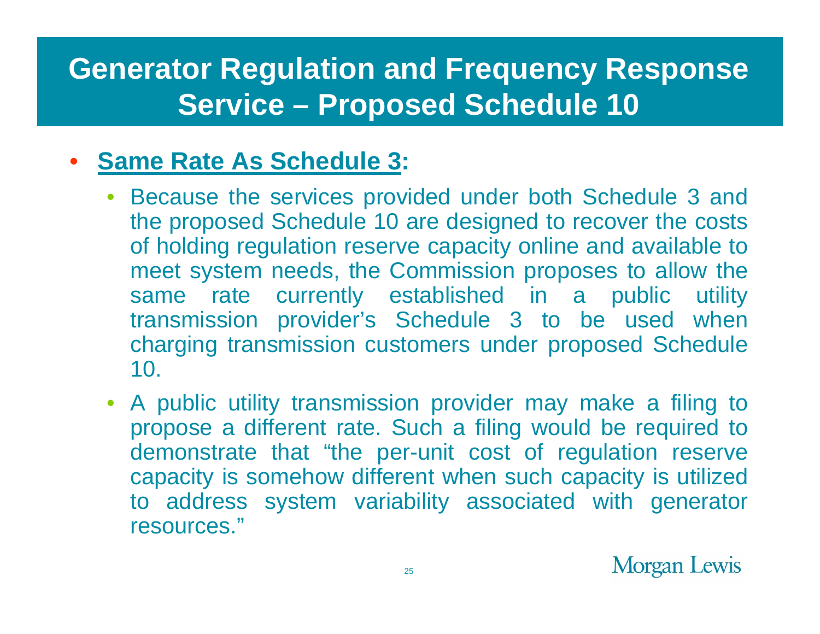## **Generator Regulation and Frequency Response Service – Proposed Schedule 10**

#### $\bullet$ **Same Rate As Schedule 3:**

- • Because the services provided under both Schedule 3 and the proposed Schedule 10 are designed to recover the costs of holding regulation reserve capacity online and available to meet system needs, the Commission proposes to allow the same rate currently established in a public utility transmission provider's Schedule 3 to be used when charging transmission customers under proposed Schedule 10.
- $\bullet$  A public utility transmission provider may make a filing to propose a different rate. Such a filing would be required to demonstrate that "the per-unit cost of regulation reserve capacity is somehow different when such capacity is utilized to address system variability associated with generator resources."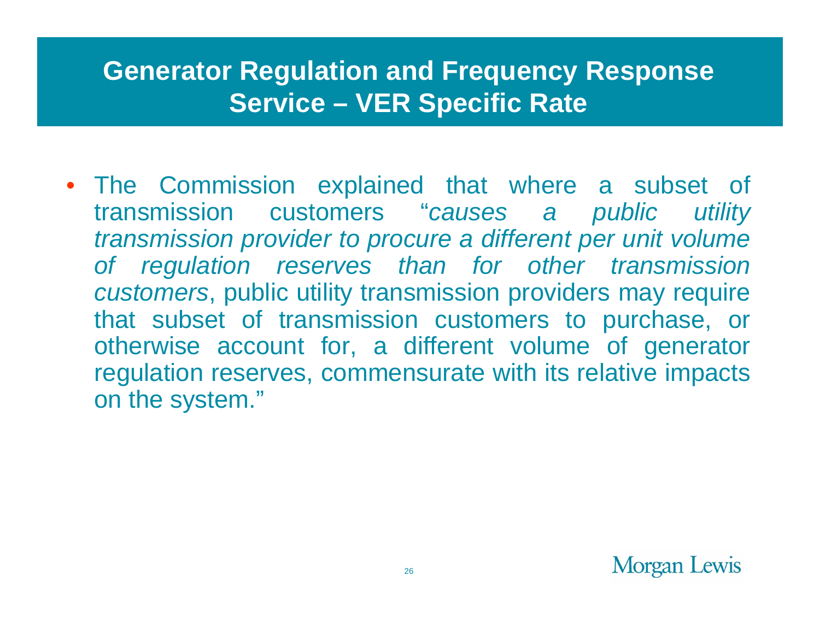#### **Generator Regulation and Frequency Response Service – VER Specific Rate**

• The Commission explained that where a subset of transmission customers "*causes a public utility transmission provider to procure a different per unit volume of regulation reserves than for other transmission customers*, public utility transmission providers may require that subset of transmission customers to purchase, or otherwise account for, a different volume of generator regulation reserves, commensurate with its relative impacts on the system."

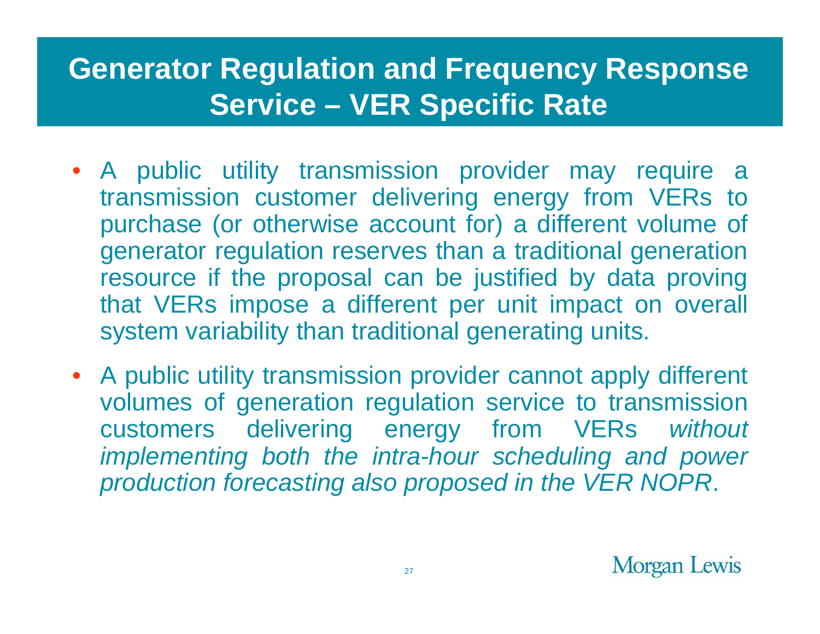## **Generator Regulation and Frequency Response Service – VER Specific Rate**

- A public utility transmission provider may require a transmission customer delivering energy from VERs to purchase (or otherwise account for) a different volume of generator regulation reserves than a traditional generation resource if the proposal can be justified by data proving that VERs impose a different per unit impact on overall system variability than traditional generating units.
- A public utility transmission provider cannot apply different volumes of generation regulation service to transmission customers delivering energy from VERs *without implementing both the intra-hour scheduling and power production forecasting also proposed in the VER NOPR*.

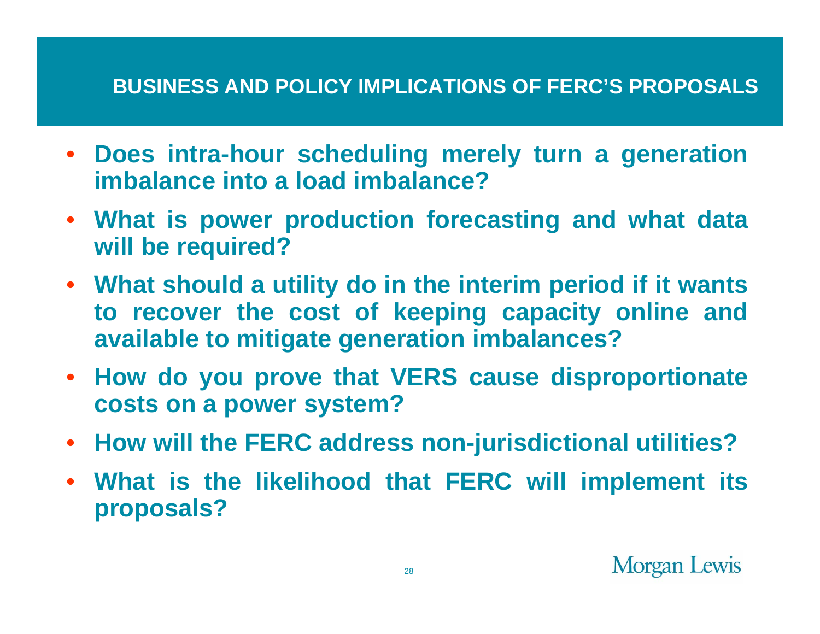#### **BUSINESS AND POLICY IMPLICATIONS OF FERC'S PROPOSALS**

- $\bullet$  **Does intra-hour scheduling merely turn a generation imbalance into a load imbalance?**
- $\bullet$  **What is power production forecasting and what data will be required?**
- **What should a utility do in the interim period if it wants to recover the cost of keeping capacity online and available to mitigate generation imbalances?**
- **How do you prove that VERS cause disproportionate costs on a power system?**
- $\bullet$ **How will the FERC address non-jurisdictional utilities?**
- **What is the likelihood that FERC will implement its proposals?**

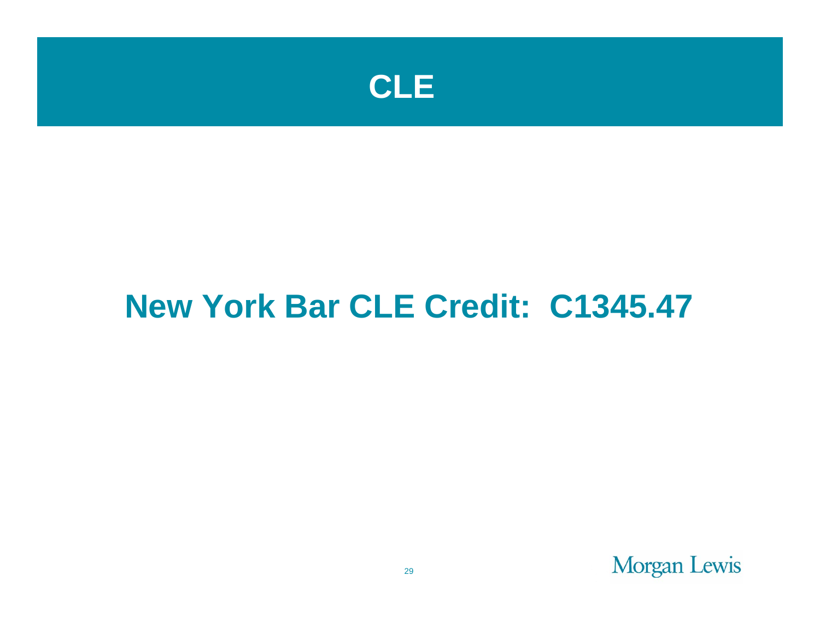

# **New York Bar CLE Credit: C1345.47**